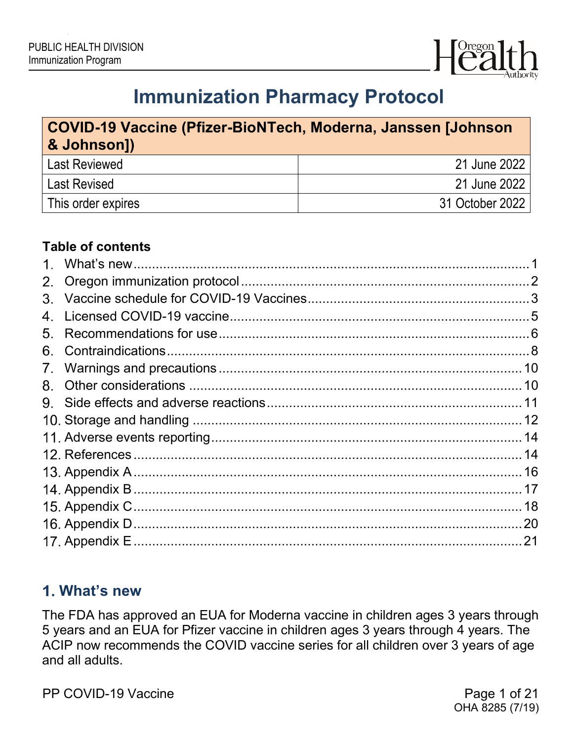

# **Immunization Pharmacy Protocol**

## **COVID-19 Vaccine (Pfizer-BioNTech, Moderna, Janssen [Johnson & Johnson])** Last Reviewed 21 June 2022 Last Revised 21 June 2022 This order expires 31 October 2022

#### **Table of contents**

| $1_{-}$     |  |
|-------------|--|
| 2.          |  |
|             |  |
| 4.          |  |
| 5.          |  |
| 6.          |  |
| $7_{\cdot}$ |  |
| 8.          |  |
|             |  |
|             |  |
|             |  |
|             |  |
|             |  |
|             |  |
|             |  |
|             |  |
|             |  |
|             |  |

## <span id="page-0-0"></span>**What's new**

The FDA has approved an EUA for Moderna vaccine in children ages 3 years through 5 years and an EUA for Pfizer vaccine in children ages 3 years through 4 years. The ACIP now recommends the COVID vaccine series for all children over 3 years of age and all adults.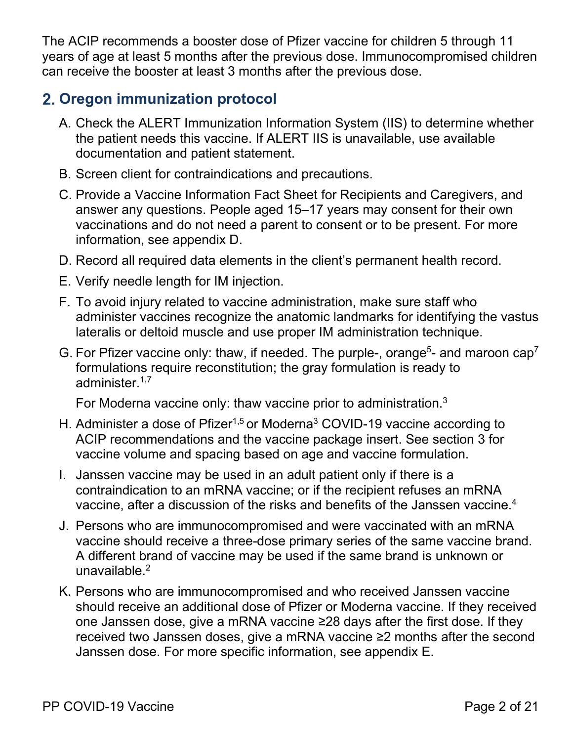The ACIP recommends a booster dose of Pfizer vaccine for children 5 through 11 years of age at least 5 months after the previous dose. Immunocompromised children can receive the booster at least 3 months after the previous dose.

## <span id="page-1-0"></span>**Oregon immunization protocol**

- A. Check the ALERT Immunization Information System (IIS) to determine whether the patient needs this vaccine. If ALERT IIS is unavailable, use available documentation and patient statement.
- B. Screen client for contraindications and precautions.
- C. Provide a Vaccine Information [Fact Sheet for Recipients and Caregivers,](https://www.fda.gov/media/144414/download) and answer any questions. People aged 15–17 years may consent for their own vaccinations and do not need a parent to consent or to be present. For more information, see appendix D.
- D. Record all required data elements in the client's permanent health record.
- E. Verify needle length for IM injection.
- F. To avoid injury related to vaccine administration, make sure staff who administer vaccines recognize the anatomic landmarks for identifying the vastus lateralis or deltoid muscle and use proper IM administration technique.
- G. For Pfizer vaccine only: thaw, if needed. The purple-, orange<sup>5</sup>- and maroon  $cap<sup>7</sup>$ formulations require reconstitution; the gray formulation is ready to administer $1,7$

For Moderna vaccine only: thaw vaccine prior to administration.3

- H. Administer a dose of Pfizer<sup>1,5</sup> or Moderna<sup>3</sup> COVID-19 vaccine according to ACIP recommendations and the vaccine package insert. See section 3 for vaccine volume and spacing based on age and vaccine formulation.
- I. Janssen vaccine may be used in an adult patient only if there is a contraindication to an mRNA vaccine; or if the recipient refuses an mRNA vaccine, after a discussion of the risks and benefits of the Janssen vaccine.<sup>4</sup>
- J. Persons who are immunocompromised and were vaccinated with an mRNA vaccine should receive a three-dose primary series of the same vaccine brand. A different brand of vaccine may be used if the same brand is unknown or unavailable $^2$
- K. Persons who are immunocompromised and who received Janssen vaccine should receive an additional dose of Pfizer or Moderna vaccine. If they received one Janssen dose, give a mRNA vaccine ≥28 days after the first dose. If they received two Janssen doses, give a mRNA vaccine ≥2 months after the second Janssen dose. For more specific information, see appendix E.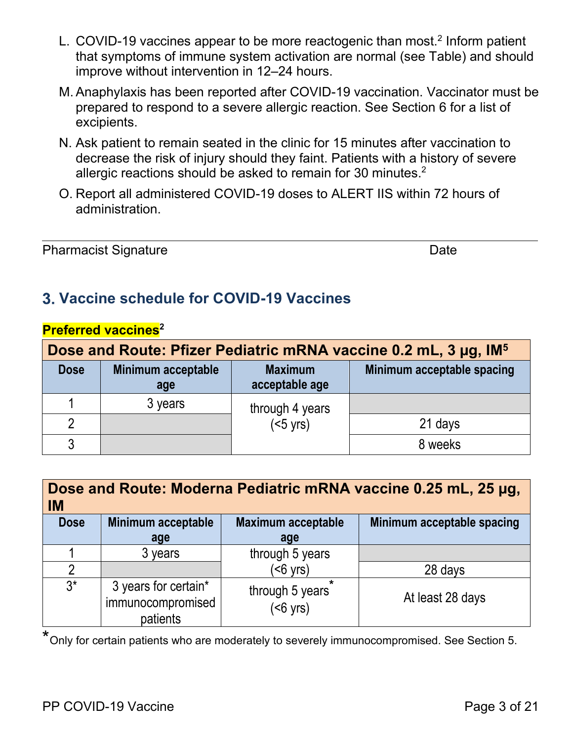- L. COVID-19 vaccines appear to be more reactogenic than most.<sup>2</sup> Inform patient that symptoms of immune system activation are normal (see Table) and should improve without intervention in 12–24 hours.
- M.Anaphylaxis has been reported after COVID-19 vaccination. Vaccinator must be prepared to respond to a severe allergic reaction. See Section 6 for a list of excipients.
- N. Ask patient to remain seated in the clinic for 15 minutes after vaccination to decrease the risk of injury should they faint. Patients with a history of severe allergic reactions should be asked to remain for 30 minutes. $^{\rm 2}$
- O. Report all administered COVID-19 doses to ALERT IIS within 72 hours of administration.

#### Pharmacist Signature **Date** Date Date

## <span id="page-2-0"></span>**Vaccine schedule for COVID-19 Vaccines**

| Dose and Route: Pfizer Pediatric mRNA vaccine 0.2 mL, 3 µg, IM <sup>5</sup> |                                  |                                  |                            |  |
|-----------------------------------------------------------------------------|----------------------------------|----------------------------------|----------------------------|--|
| <b>Dose</b>                                                                 | <b>Minimum acceptable</b><br>age | <b>Maximum</b><br>acceptable age | Minimum acceptable spacing |  |
|                                                                             | 3 years                          | through 4 years                  |                            |  |
|                                                                             |                                  | $(5 \text{ yrs})$                | 21 days                    |  |
| 3                                                                           |                                  |                                  | 8 weeks                    |  |

#### **Preferred vaccines**<sup>2</sup>

| <b>IM</b>      | Dose and Route: Moderna Pediatric mRNA vaccine 0.25 mL, 25 µg, |                                       |                            |  |  |
|----------------|----------------------------------------------------------------|---------------------------------------|----------------------------|--|--|
| <b>Dose</b>    | Minimum acceptable                                             | Maximum acceptable                    | Minimum acceptable spacing |  |  |
|                | age                                                            | age                                   |                            |  |  |
|                | 3 years                                                        | through 5 years                       |                            |  |  |
| $\mathfrak{D}$ |                                                                | $(56 \text{ yrs})$                    | 28 days                    |  |  |
| $3^*$          | 3 years for certain*<br>immunocompromised<br>patients          | through 5 years<br>$(56 \text{ yrs})$ | At least 28 days           |  |  |

\*Only for certain patients who are moderately to severely immunocompromised. See Section 5.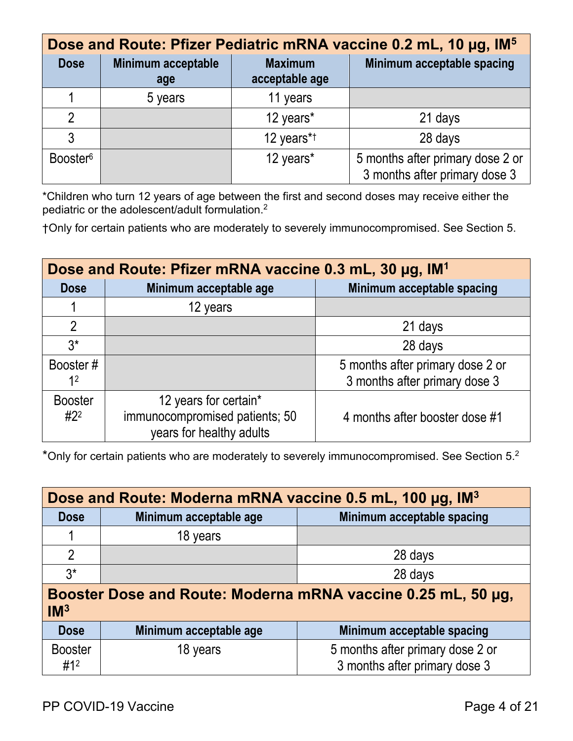|                      | Dose and Route: Pfizer Pediatric mRNA vaccine 0.2 mL, 10 µg, IM <sup>5</sup> |                                  |                                                                   |  |  |  |
|----------------------|------------------------------------------------------------------------------|----------------------------------|-------------------------------------------------------------------|--|--|--|
| <b>Dose</b>          | <b>Minimum acceptable</b><br>age                                             | <b>Maximum</b><br>acceptable age | Minimum acceptable spacing                                        |  |  |  |
|                      | 5 years                                                                      | 11 years                         |                                                                   |  |  |  |
| $\mathfrak{D}$       |                                                                              | 12 years*                        | 21 days                                                           |  |  |  |
| 3                    |                                                                              | 12 years*1                       | 28 days                                                           |  |  |  |
| Booster <sup>6</sup> |                                                                              | 12 years*                        | 5 months after primary dose 2 or<br>3 months after primary dose 3 |  |  |  |

\*Children who turn 12 years of age between the first and second doses may receive either the pediatric or the adolescent/adult formulation.<sup>2</sup>

†Only for certain patients who are moderately to severely immunocompromised. See Section 5.

| Dose and Route: Pfizer mRNA vaccine 0.3 mL, 30 µg, IM <sup>1</sup> |                                                                                     |                                                                   |  |  |
|--------------------------------------------------------------------|-------------------------------------------------------------------------------------|-------------------------------------------------------------------|--|--|
| <b>Dose</b>                                                        | Minimum acceptable age                                                              | Minimum acceptable spacing                                        |  |  |
|                                                                    | 12 years                                                                            |                                                                   |  |  |
| $\overline{2}$                                                     |                                                                                     | 21 days                                                           |  |  |
| $3^*$                                                              |                                                                                     | 28 days                                                           |  |  |
| Booster#<br>1 <sup>2</sup>                                         |                                                                                     | 5 months after primary dose 2 or<br>3 months after primary dose 3 |  |  |
| <b>Booster</b><br>$#2^2$                                           | 12 years for certain*<br>immunocompromised patients; 50<br>years for healthy adults | 4 months after booster dose #1                                    |  |  |

\*Only for certain patients who are moderately to severely immunocompromised. See Section 5.2

| Dose and Route: Moderna mRNA vaccine 0.5 mL, 100 µg, IM <sup>3</sup>            |          |                            |  |  |
|---------------------------------------------------------------------------------|----------|----------------------------|--|--|
| Minimum acceptable age<br><b>Dose</b>                                           |          | Minimum acceptable spacing |  |  |
| 1.                                                                              | 18 years |                            |  |  |
| $\overline{2}$                                                                  |          | 28 days                    |  |  |
| $3^*$                                                                           |          | 28 days                    |  |  |
| Booster Dose and Route: Moderna mRNA vaccine 0.25 mL, 50 µg,<br>IM <sup>3</sup> |          |                            |  |  |

| Dose                  | Minimum acceptable age | Minimum acceptable spacing                                        |
|-----------------------|------------------------|-------------------------------------------------------------------|
| <b>Booster</b><br>#12 | 18 years               | 5 months after primary dose 2 or<br>3 months after primary dose 3 |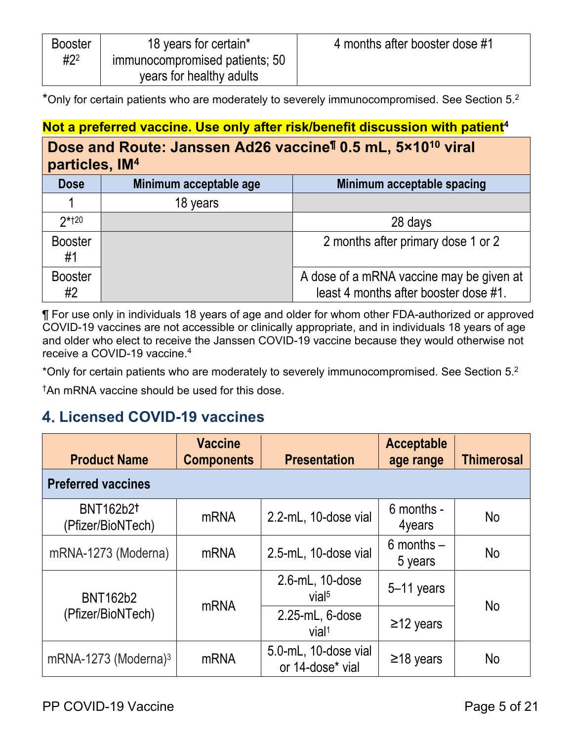| <b>Booster</b> | 18 years for certain*          | 4 months after booster dose #1 |
|----------------|--------------------------------|--------------------------------|
| $#2^2$         | immunocompromised patients; 50 |                                |
|                | years for healthy adults       |                                |

\*Only for certain patients who are moderately to severely immunocompromised. See Section 5.<sup>2</sup>

## Not a preferred vaccine. Use only after risk/benefit discussion with patient<sup>4</sup>

#### **Dose and Route: Janssen Ad26 vaccine¶ 0.5 mL, 5×1010 viral**   $n$ articles, IM<sup>4</sup>

|                      | <u>Pen arvive, ma</u>  |                                                                                   |  |  |  |
|----------------------|------------------------|-----------------------------------------------------------------------------------|--|--|--|
| <b>Dose</b>          | Minimum acceptable age | Minimum acceptable spacing                                                        |  |  |  |
|                      | 18 years               |                                                                                   |  |  |  |
| $2*120$              |                        | 28 days                                                                           |  |  |  |
| <b>Booster</b><br>#1 |                        | 2 months after primary dose 1 or 2                                                |  |  |  |
| <b>Booster</b><br>#2 |                        | A dose of a mRNA vaccine may be given at<br>least 4 months after booster dose #1. |  |  |  |

¶ For use only in individuals 18 years of age and older for whom other FDA-authorized or approved COVID-19 vaccines are not accessible or clinically appropriate, and in individuals 18 years of age and older who elect to receive the Janssen COVID-19 vaccine because they would otherwise not receive a COVID-19 vaccine. 4

\*Only for certain patients who are moderately to severely immunocompromised. See Section 5.<sup>2</sup>

†An mRNA vaccine should be used for this dose.

## <span id="page-4-0"></span>**Licensed COVID-19 vaccines**

| <b>Product Name</b>                   | <b>Vaccine</b><br><b>Components</b> | <b>Presentation</b>                      | <b>Acceptable</b><br>age range | <b>Thimerosal</b> |
|---------------------------------------|-------------------------------------|------------------------------------------|--------------------------------|-------------------|
| <b>Preferred vaccines</b>             |                                     |                                          |                                |                   |
| <b>BNT162b2t</b><br>(Pfizer/BioNTech) | <b>mRNA</b>                         | 2.2-mL, 10-dose vial                     | 6 months -<br>4years           | <b>No</b>         |
| mRNA-1273 (Moderna)                   | <b>mRNA</b>                         | 2.5-mL, 10-dose vial                     | $6$ months $-$<br>5 years      | <b>No</b>         |
| <b>BNT162b2</b>                       | <b>mRNA</b>                         | 2.6-mL, 10-dose<br>vial <sup>5</sup>     | $5-11$ years                   | <b>No</b>         |
| (Pfizer/BioNTech)                     |                                     | 2.25-mL, 6-dose<br>vial <sup>1</sup>     | $\geq$ 12 years                |                   |
| mRNA-1273 (Moderna) $3$               | mRNA                                | 5.0-mL, 10-dose vial<br>or 14-dose* vial | $\geq$ 18 years                | <b>No</b>         |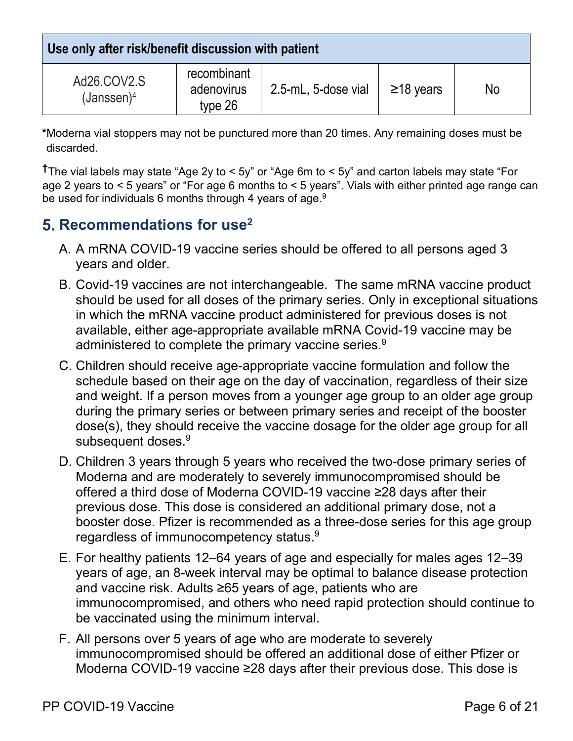**Use only after risk/benefit discussion with patient**

| Ad26.COV2.S<br>$(Janssen)^4$ | recombinant<br>adenovirus<br>type 26 | 2.5-mL, 5-dose vial | $\geq$ 18 years | No |
|------------------------------|--------------------------------------|---------------------|-----------------|----|

**\***Moderna vial stoppers may not be punctured more than 20 times. Any remaining doses must be discarded.

**†**The vial labels may state "Age 2y to < 5y" or "Age 6m to < 5y" and carton labels may state "For age 2 years to < 5 years" or "For age 6 months to < 5 years". Vials with either printed age range can be used for individuals 6 months through 4 years of age.<sup>9</sup>

## <span id="page-5-0"></span>**5. Recommendations for use<sup>2</sup>**

- A. A mRNA COVID-19 vaccine series should be offered to all persons aged 3 years and older.
- B. Covid-19 vaccines are not interchangeable. The same mRNA vaccine product should be used for all doses of the primary series. Only in exceptional situations in which the mRNA vaccine product administered for previous doses is not available, either age-appropriate available mRNA Covid-19 vaccine may be administered to complete the primary vaccine series.<sup>9</sup>
- C. Children should receive age-appropriate vaccine formulation and follow the schedule based on their age on the day of vaccination, regardless of their size and weight. If a person moves from a younger age group to an older age group during the primary series or between primary series and receipt of the booster dose(s), they should receive the vaccine dosage for the older age group for all subsequent doses.<sup>9</sup>
- D. Children 3 years through 5 years who received the two-dose primary series of Moderna and are moderately to severely immunocompromised should be offered a third dose of Moderna COVID-19 vaccine ≥28 days after their previous dose. This dose is considered an additional primary dose, not a booster dose. Pfizer is recommended as a three-dose series for this age group regardless of immunocompetency status. $^9$
- E. For healthy patients 12–64 years of age and especially for males ages 12–39 years of age, an 8-week interval may be optimal to balance disease protection and vaccine risk. Adults ≥65 years of age, patients who are immunocompromised, and others who need rapid protection should continue to be vaccinated using the minimum interval.
- F. All persons over 5 years of age who are moderate to severely immunocompromised should be offered an additional dose of either Pfizer or Moderna COVID-19 vaccine ≥28 days after their previous dose. This dose is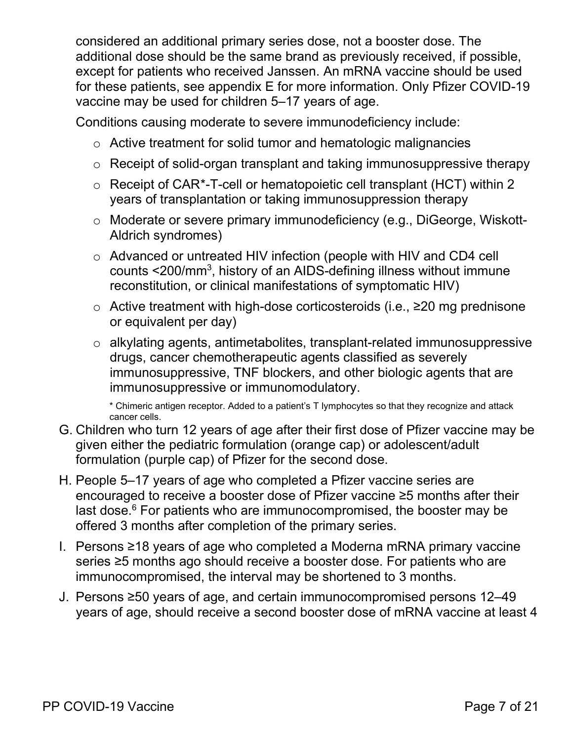considered an additional primary series dose, not a booster dose. The additional dose should be the same brand as previously received, if possible, except for patients who received Janssen. An mRNA vaccine should be used for these patients, see appendix E for more information. Only Pfizer COVID-19 vaccine may be used for children 5–17 years of age.

Conditions causing moderate to severe immunodeficiency include:

- o Active treatment for solid tumor and hematologic malignancies
- o Receipt of solid-organ transplant and taking immunosuppressive therapy
- o Receipt of CAR[\\*-](#page-6-0)T-cell or hematopoietic cell transplant (HCT) within 2 years of transplantation or taking immunosuppression therapy
- o Moderate or severe primary immunodeficiency (e.g., DiGeorge, Wiskott-Aldrich syndromes)
- o Advanced or untreated HIV infection (people with HIV and CD4 cell counts <200/mm3, history of an AIDS-defining illness without immune reconstitution, or clinical manifestations of symptomatic HIV)
- o Active treatment with high-dose corticosteroids (i.e., ≥20 mg prednisone or equivalent per day)
- o alkylating agents, antimetabolites, transplant-related immunosuppressive drugs, cancer chemotherapeutic agents classified as severely immunosuppressive, TNF blockers, and other biologic agents that are immunosuppressive or immunomodulatory.

\* Chimeric antigen receptor. Added to a patient's T lymphocytes so that they recognize and attack cancer cells.

- G. Children who turn 12 years of age after their first dose of Pfizer vaccine may be given either the pediatric formulation (orange cap) or adolescent/adult formulation (purple cap) of Pfizer for the second dose.
- H. People 5–17 years of age who completed a Pfizer vaccine series are encouraged to receive a booster dose of Pfizer vaccine ≥5 months after their last dose. $6$  For patients who are immunocompromised, the booster may be offered 3 months after completion of the primary series.
- I. Persons ≥18 years of age who completed a Moderna mRNA primary vaccine series ≥5 months ago should receive a booster dose. For patients who are immunocompromised, the interval may be shortened to 3 months.
- <span id="page-6-0"></span>J. Persons ≥50 years of age, and certain immunocompromised persons 12–49 years of age, should receive a second booster dose of mRNA vaccine at least 4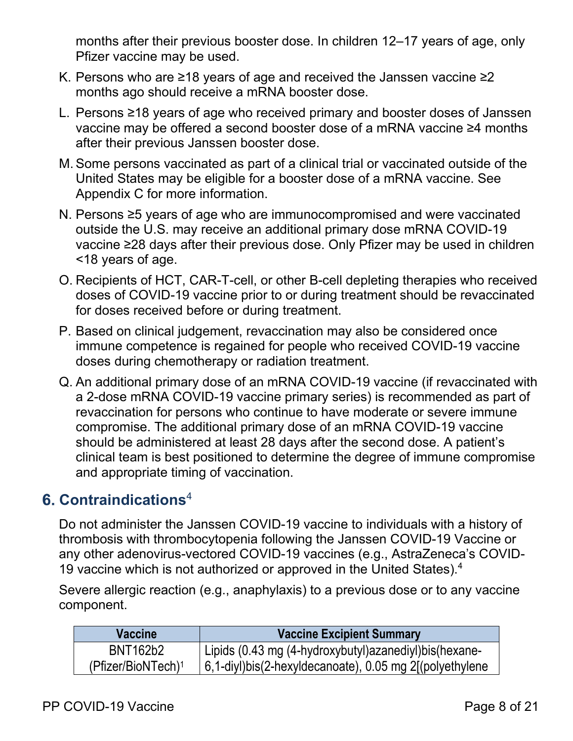months after their previous booster dose. In children 12–17 years of age, only Pfizer vaccine may be used.

- K. Persons who are ≥18 years of age and received the Janssen vaccine ≥2 months ago should receive a mRNA booster dose.
- L. Persons ≥18 years of age who received primary and booster doses of Janssen vaccine may be offered a second booster dose of a mRNA vaccine ≥4 months after their previous Janssen booster dose.
- M.Some persons vaccinated as part of a clinical trial or vaccinated outside of the United States may be eligible for a booster dose of a mRNA vaccine. See Appendix C for more information.
- N. Persons ≥5 years of age who are immunocompromised and were vaccinated outside the U.S. may receive an additional primary dose mRNA COVID-19 vaccine ≥28 days after their previous dose. Only Pfizer may be used in children <18 years of age.
- O. Recipients of HCT, CAR-T-cell, or other B-cell depleting therapies who received doses of COVID-19 vaccine prior to or during treatment should be revaccinated for doses received before or during treatment.
- P. Based on clinical judgement, revaccination may also be considered once immune competence is regained for people who received COVID-19 vaccine doses during chemotherapy or radiation treatment.
- Q. An additional primary dose of an mRNA COVID-19 vaccine (if revaccinated with a 2-dose mRNA COVID-19 vaccine primary series) is recommended as part of revaccination for persons who continue to have moderate or severe immune compromise. The additional primary dose of an mRNA COVID-19 vaccine should be administered at least 28 days after the second dose. A patient's clinical team is best positioned to determine the degree of immune compromise and appropriate timing of vaccination.

## <span id="page-7-0"></span>**Contraindications**<sup>4</sup>

Do not administer the Janssen COVID-19 vaccine to individuals with a history of thrombosis with thrombocytopenia following the Janssen COVID-19 Vaccine or any other adenovirus-vectored COVID-19 vaccines (e.g., AstraZeneca's COVID-19 vaccine which is not authorized or approved in the United States).<sup>4</sup>

Severe allergic reaction (e.g., anaphylaxis) to a previous dose or to any vaccine component.

| <b>Vaccine</b>                 | <b>Vaccine Excipient Summary</b>                        |
|--------------------------------|---------------------------------------------------------|
| BNT162b2                       | Lipids (0.43 mg (4-hydroxybutyl)azanediyl)bis(hexane-   |
| (Pfizer/BioNTech) <sup>1</sup> | 6,1-diyl)bis(2-hexyldecanoate), 0.05 mg 2[(polyethylene |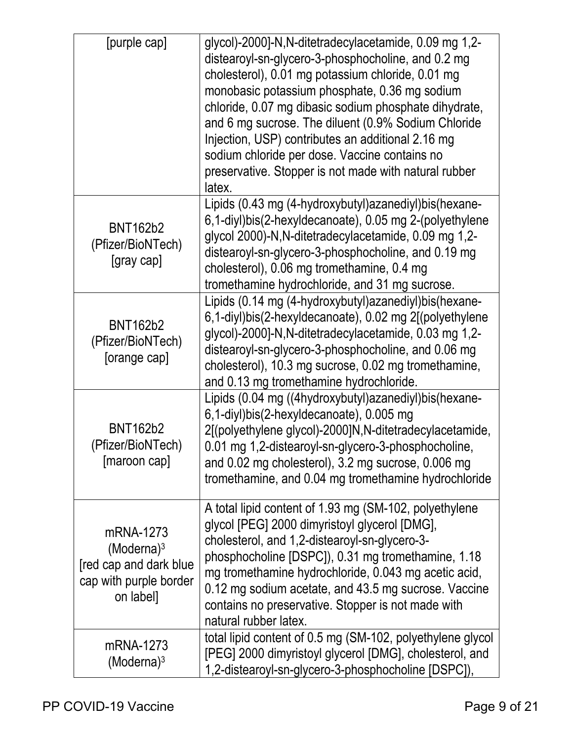| [purple cap]                                                                                | glycol)-2000]-N,N-ditetradecylacetamide, 0.09 mg 1,2-<br>distearoyl-sn-glycero-3-phosphocholine, and 0.2 mg<br>cholesterol), 0.01 mg potassium chloride, 0.01 mg<br>monobasic potassium phosphate, 0.36 mg sodium<br>chloride, 0.07 mg dibasic sodium phosphate dihydrate,<br>and 6 mg sucrose. The diluent (0.9% Sodium Chloride<br>Injection, USP) contributes an additional 2.16 mg<br>sodium chloride per dose. Vaccine contains no<br>preservative. Stopper is not made with natural rubber<br>latex. |
|---------------------------------------------------------------------------------------------|------------------------------------------------------------------------------------------------------------------------------------------------------------------------------------------------------------------------------------------------------------------------------------------------------------------------------------------------------------------------------------------------------------------------------------------------------------------------------------------------------------|
| <b>BNT162b2</b><br>(Pfizer/BioNTech)<br>[gray cap]                                          | Lipids (0.43 mg (4-hydroxybutyl) azanediyl) bis (hexane-<br>6,1-diyl)bis(2-hexyldecanoate), 0.05 mg 2-(polyethylene<br>glycol 2000)-N, N-ditetradecylacetamide, 0.09 mg 1,2-<br>distearoyl-sn-glycero-3-phosphocholine, and 0.19 mg<br>cholesterol), 0.06 mg tromethamine, 0.4 mg<br>tromethamine hydrochloride, and 31 mg sucrose.                                                                                                                                                                        |
| <b>BNT162b2</b><br>(Pfizer/BioNTech)<br>[orange cap]                                        | Lipids (0.14 mg (4-hydroxybutyl) azanediyl) bis (hexane-<br>6,1-diyl)bis(2-hexyldecanoate), 0.02 mg 2[(polyethylene<br>glycol)-2000]-N,N-ditetradecylacetamide, 0.03 mg 1,2-<br>distearoyl-sn-glycero-3-phosphocholine, and 0.06 mg<br>cholesterol), 10.3 mg sucrose, 0.02 mg tromethamine,<br>and 0.13 mg tromethamine hydrochloride.                                                                                                                                                                     |
| <b>BNT162b2</b><br>(Pfizer/BioNTech)<br>[maroon cap]                                        | Lipids (0.04 mg ((4hydroxybutyl)azanediyl)bis(hexane-<br>6,1-diyl)bis(2-hexyldecanoate), 0.005 mg<br>2[(polyethylene glycol)-2000]N,N-ditetradecylacetamide,<br>0.01 mg 1,2-distearoyl-sn-glycero-3-phosphocholine,<br>and 0.02 mg cholesterol), 3.2 mg sucrose, 0.006 mg<br>tromethamine, and 0.04 mg tromethamine hydrochloride                                                                                                                                                                          |
| mRNA-1273<br>$(Moderna)^3$<br>[red cap and dark blue<br>cap with purple border<br>on label] | A total lipid content of 1.93 mg (SM-102, polyethylene<br>glycol [PEG] 2000 dimyristoyl glycerol [DMG],<br>cholesterol, and 1,2-distearoyl-sn-glycero-3-<br>phosphocholine [DSPC]), 0.31 mg tromethamine, 1.18<br>mg tromethamine hydrochloride, 0.043 mg acetic acid,<br>0.12 mg sodium acetate, and 43.5 mg sucrose. Vaccine<br>contains no preservative. Stopper is not made with<br>natural rubber latex.                                                                                              |
| mRNA-1273<br>$(Moderna)^3$                                                                  | total lipid content of 0.5 mg (SM-102, polyethylene glycol<br>[PEG] 2000 dimyristoyl glycerol [DMG], cholesterol, and<br>1,2-distearoyl-sn-glycero-3-phosphocholine [DSPC]),                                                                                                                                                                                                                                                                                                                               |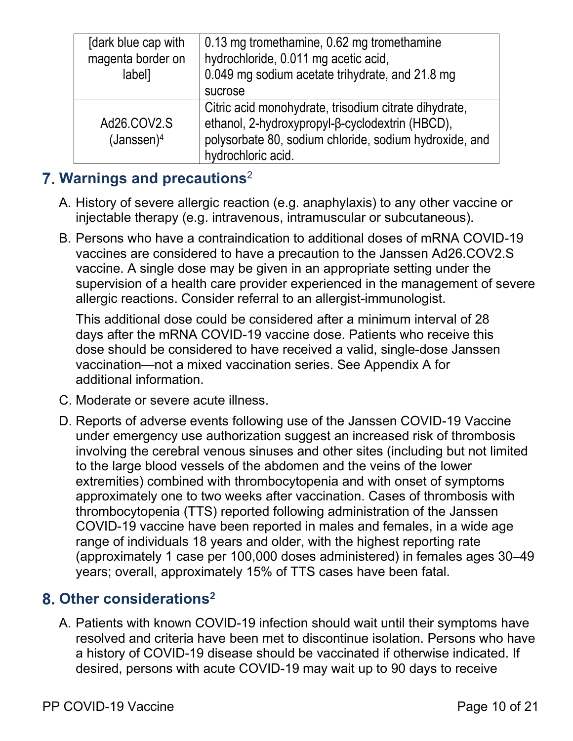| [dark blue cap with<br>magenta border on<br>label] | 0.13 mg tromethamine, 0.62 mg tromethamine<br>hydrochloride, 0.011 mg acetic acid,<br>0.049 mg sodium acetate trihydrate, and 21.8 mg<br>sucrose                                         |
|----------------------------------------------------|------------------------------------------------------------------------------------------------------------------------------------------------------------------------------------------|
| Ad26.COV2.S<br>(Janssen) <sup>4</sup>              | Citric acid monohydrate, trisodium citrate dihydrate,<br>ethanol, 2-hydroxypropyl-β-cyclodextrin (HBCD),<br>polysorbate 80, sodium chloride, sodium hydroxide, and<br>hydrochloric acid. |

## <span id="page-9-0"></span>**Warnings and precautions**<sup>2</sup>

- A. History of severe allergic reaction (e.g. anaphylaxis) to any other vaccine or injectable therapy (e.g. intravenous, intramuscular or subcutaneous).
- B. Persons who have a contraindication to additional doses of mRNA COVID-19 vaccines are considered to have a precaution to the Janssen Ad26.COV2.S vaccine. A single dose may be given in an appropriate setting under the supervision of a health care provider experienced in the management of severe allergic reactions. Consider referral to an allergist-immunologist.

This additional dose could be considered after a minimum interval of 28 days after the mRNA COVID-19 vaccine dose. Patients who receive this dose should be considered to have received a valid, single-dose Janssen vaccination—not a mixed vaccination series. See Appendix A for additional information.

- C. Moderate or severe acute illness.
- D. Reports of adverse events following use of the Janssen COVID-19 Vaccine under emergency use authorization suggest an increased risk of thrombosis involving the cerebral venous sinuses and other sites (including but not limited to the large blood vessels of the abdomen and the veins of the lower extremities) combined with thrombocytopenia and with onset of symptoms approximately one to two weeks after vaccination. Cases of thrombosis with thrombocytopenia (TTS) reported following administration of the Janssen COVID-19 vaccine have been reported in males and females, in a wide age range of individuals 18 years and older, with the highest reporting rate (approximately 1 case per 100,000 doses administered) in females ages 30–49 years; overall, approximately 15% of TTS cases have been fatal.

## <span id="page-9-1"></span>**Other considerations2**

A. Patients with known COVID-19 infection should wait until their symptoms have resolved and criteria have been met to discontinue isolation. Persons who have a history of COVID-19 disease should be vaccinated if otherwise indicated. If desired, persons with acute COVID-19 may wait up to 90 days to receive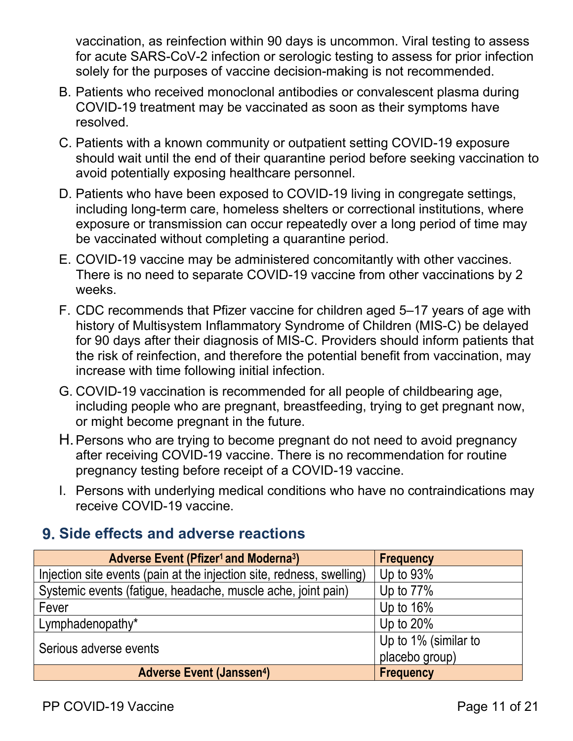vaccination, as reinfection within 90 days is uncommon. Viral testing to assess for acute SARS-CoV-2 infection or serologic testing to assess for prior infection solely for the purposes of vaccine decision-making is not recommended.

- B. Patients who received monoclonal antibodies or convalescent plasma during COVID-19 treatment may be vaccinated as soon as their symptoms have resolved.
- C. Patients with a known community or outpatient setting COVID-19 exposure should wait until the end of their quarantine period before seeking vaccination to avoid potentially exposing healthcare personnel.
- D. Patients who have been exposed to COVID-19 living in congregate settings, including long-term care, homeless shelters or correctional institutions, where exposure or transmission can occur repeatedly over a long period of time may be vaccinated without completing a quarantine period.
- E. COVID-19 vaccine may be administered concomitantly with other vaccines. There is no need to separate COVID-19 vaccine from other vaccinations by 2 weeks.
- F. CDC recommends that Pfizer vaccine for children aged 5–17 years of age with history of Multisystem Inflammatory Syndrome of Children (MIS-C) be delayed for 90 days after their diagnosis of MIS-C. Providers should inform patients that the risk of reinfection, and therefore the potential benefit from vaccination, may increase with time following initial infection.
- G. COVID-19 vaccination is recommended for all people of childbearing age, including people who are pregnant, breastfeeding, trying to get pregnant now, or might become pregnant in the future.
- H.Persons who are trying to become pregnant do not need to avoid pregnancy after receiving COVID-19 vaccine. There is no recommendation for routine pregnancy testing before receipt of a COVID-19 vaccine.
- I. Persons with underlying medical conditions who have no contraindications may receive COVID-19 vaccine.

## <span id="page-10-0"></span>**Side effects and adverse reactions**

| <b>Adverse Event (Pfizer<sup>1</sup> and Moderna<sup>3</sup>)</b>     | <b>Frequency</b>     |
|-----------------------------------------------------------------------|----------------------|
| Injection site events (pain at the injection site, redness, swelling) | Up to $93\%$         |
| Systemic events (fatigue, headache, muscle ache, joint pain)          | Up to $77\%$         |
| Fever                                                                 | Up to $16\%$         |
| Lymphadenopathy*                                                      | Up to $20\%$         |
| Serious adverse events                                                | Up to 1% (similar to |
|                                                                       | placebo group)       |
| <b>Adverse Event (Janssen4)</b>                                       | <b>Frequency</b>     |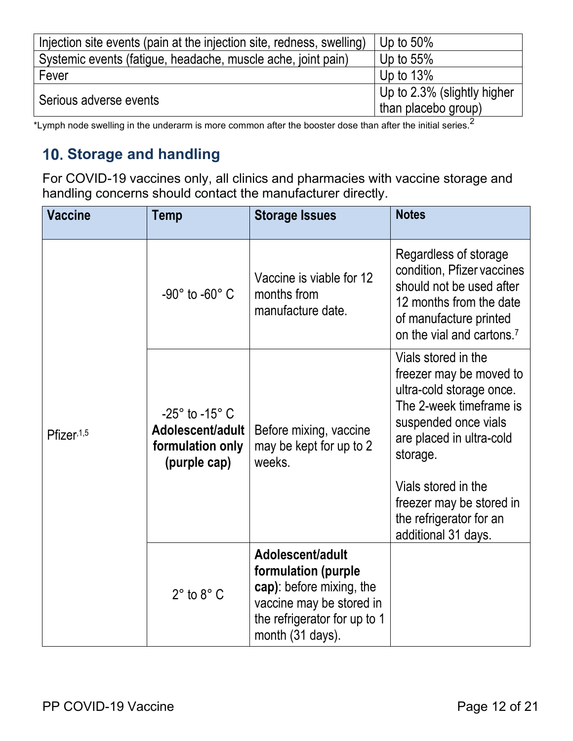| Injection site events (pain at the injection site, redness, swelling) | Up to $50\%$                                       |
|-----------------------------------------------------------------------|----------------------------------------------------|
| Systemic events (fatigue, headache, muscle ache, joint pain)          | Up to $55\%$                                       |
| Fever                                                                 | Up to $13\%$                                       |
| Serious adverse events                                                | Up to 2.3% (slightly higher<br>than placebo group) |

\*Lymph node swelling in the underarm is more common after the booster dose than after the initial series.<sup>2</sup>

## <span id="page-11-0"></span>**Storage and handling**

For COVID-19 vaccines only, all clinics and pharmacies with vaccine storage and handling concerns should contact the manufacturer directly.

| <b>Vaccine</b> | <b>Temp</b>                                                                          | <b>Storage Issues</b>                                                                                                                               | <b>Notes</b>                                                                                                                                                                                                                                                               |
|----------------|--------------------------------------------------------------------------------------|-----------------------------------------------------------------------------------------------------------------------------------------------------|----------------------------------------------------------------------------------------------------------------------------------------------------------------------------------------------------------------------------------------------------------------------------|
| Pfizer, 1,5    | -90 $^{\circ}$ to -60 $^{\circ}$ C                                                   | Vaccine is viable for 12<br>months from<br>manufacture date.                                                                                        | Regardless of storage<br>condition, Pfizer vaccines<br>should not be used after<br>12 months from the date<br>of manufacture printed<br>on the vial and cartons. <sup>7</sup>                                                                                              |
|                | $-25^\circ$ to $-15^\circ$ C<br>Adolescent/adult<br>formulation only<br>(purple cap) | Before mixing, vaccine<br>may be kept for up to 2<br>weeks.                                                                                         | Vials stored in the<br>freezer may be moved to<br>ultra-cold storage once.<br>The 2-week timeframe is<br>suspended once vials<br>are placed in ultra-cold<br>storage.<br>Vials stored in the<br>freezer may be stored in<br>the refrigerator for an<br>additional 31 days. |
|                | $2^\circ$ to $8^\circ$ C                                                             | Adolescent/adult<br>formulation (purple<br>cap): before mixing, the<br>vaccine may be stored in<br>the refrigerator for up to 1<br>month (31 days). |                                                                                                                                                                                                                                                                            |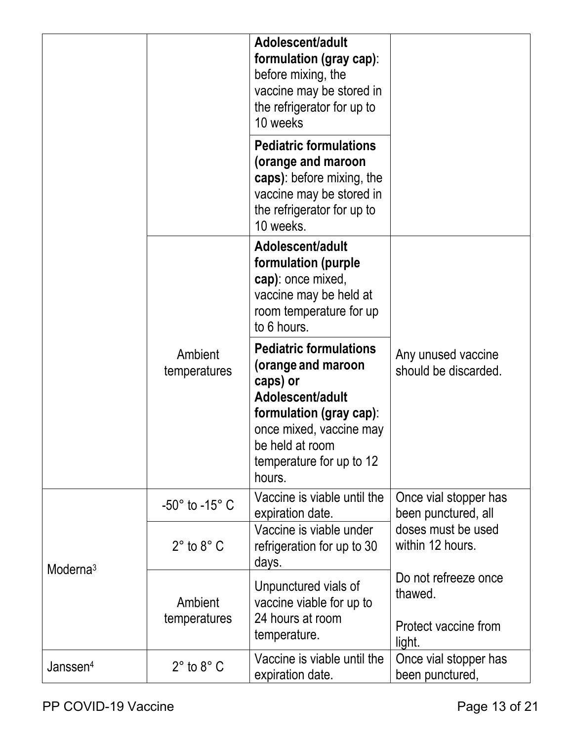|                      |                              | Adolescent/adult<br>formulation (gray cap):<br>before mixing, the<br>vaccine may be stored in<br>the refrigerator for up to<br>10 weeks                                                            |                                                                   |
|----------------------|------------------------------|----------------------------------------------------------------------------------------------------------------------------------------------------------------------------------------------------|-------------------------------------------------------------------|
|                      |                              | <b>Pediatric formulations</b><br>(orange and maroon<br>caps): before mixing, the<br>vaccine may be stored in<br>the refrigerator for up to<br>10 weeks.                                            |                                                                   |
|                      |                              | Adolescent/adult<br>formulation (purple<br>cap): once mixed,<br>vaccine may be held at<br>room temperature for up<br>to 6 hours.                                                                   |                                                                   |
|                      | Ambient<br>temperatures      | <b>Pediatric formulations</b><br>(orange and maroon<br>caps) or<br>Adolescent/adult<br>formulation (gray cap):<br>once mixed, vaccine may<br>be held at room<br>temperature for up to 12<br>hours. | Any unused vaccine<br>should be discarded.                        |
|                      | $-50^\circ$ to $-15^\circ$ C | Vaccine is viable until the<br>expiration date.                                                                                                                                                    | Once vial stopper has<br>been punctured, all                      |
| Moderna <sup>3</sup> | $2^\circ$ to $8^\circ$ C     | Vaccine is viable under<br>refrigeration for up to 30<br>days.                                                                                                                                     | doses must be used<br>within 12 hours.                            |
|                      | Ambient<br>temperatures      | Unpunctured vials of<br>vaccine viable for up to<br>24 hours at room<br>temperature.                                                                                                               | Do not refreeze once<br>thawed.<br>Protect vaccine from<br>light. |
| Janssen <sup>4</sup> | $2^\circ$ to $8^\circ$ C     | Vaccine is viable until the<br>expiration date.                                                                                                                                                    | Once vial stopper has<br>been punctured,                          |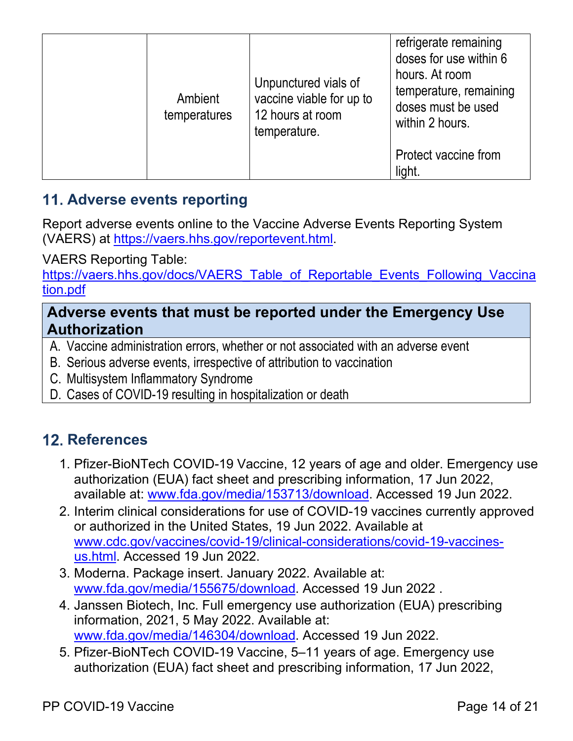| Ambient<br>temperatures | Unpunctured vials of<br>vaccine viable for up to<br>12 hours at room<br>temperature. | refrigerate remaining<br>doses for use within 6<br>hours. At room<br>temperature, remaining<br>doses must be used<br>within 2 hours. |
|-------------------------|--------------------------------------------------------------------------------------|--------------------------------------------------------------------------------------------------------------------------------------|
|                         |                                                                                      | Protect vaccine from<br>light.                                                                                                       |

## <span id="page-13-0"></span>**Adverse events reporting**

Report adverse events online to the Vaccine Adverse Events Reporting System (VAERS) at [https://vaers.hhs.gov/reportevent.html.](https://vaers.hhs.gov/reportevent.html)

VAERS Reporting Table:

[https://vaers.hhs.gov/docs/VAERS\\_Table\\_of\\_Reportable\\_Events\\_Following\\_Vaccina](https://vaers.hhs.gov/docs/VAERS_Table_of_Reportable_Events_Following_Vaccination.pdf) [tion.pdf](https://vaers.hhs.gov/docs/VAERS_Table_of_Reportable_Events_Following_Vaccination.pdf)

#### **Adverse events that must be reported under the Emergency Use Authorization**

- A. Vaccine administration errors, whether or not associated with an adverse event
- B. Serious adverse events, irrespective of attribution to vaccination
- C. Multisystem Inflammatory Syndrome
- <span id="page-13-1"></span>D. Cases of COVID-19 resulting in hospitalization or death

## **12. References**

- 1. Pfizer-BioNTech COVID-19 Vaccine, 12 years of age and older. Emergency use authorization (EUA) fact sheet and prescribing information, 17 Jun 2022, available at: [www.fda.gov/media/153713/download.](http://www.fda.gov/media/153713/download) Accessed 19 Jun 2022.
- 2. Interim clinical considerations for use of COVID-19 vaccines currently approved or authorized in the United States, 19 Jun 2022. Available at [www.cdc.gov/vaccines/covid-19/clinical-considerations/covid-19-vaccines](http://www.cdc.gov/vaccines/covid-19/clinical-considerations/covid-19-vaccines-us.html)[us.html.](http://www.cdc.gov/vaccines/covid-19/clinical-considerations/covid-19-vaccines-us.html) Accessed 19 Jun 2022.
- 3. Moderna. Package insert. January 2022. Available at: [www.fda.gov/media/155675/download.](http://www.fda.gov/media/155675/download) Accessed 19 Jun 2022 .
- 4. Janssen Biotech, Inc. Full emergency use authorization (EUA) prescribing information, 2021, 5 May 2022. Available at: [www.fda.gov/media/146304/download.](http://www.fda.gov/media/146304/download) Accessed 19 Jun 2022.
- 5. Pfizer-BioNTech COVID-19 Vaccine, 5–11 years of age. Emergency use authorization (EUA) fact sheet and prescribing information, 17 Jun 2022,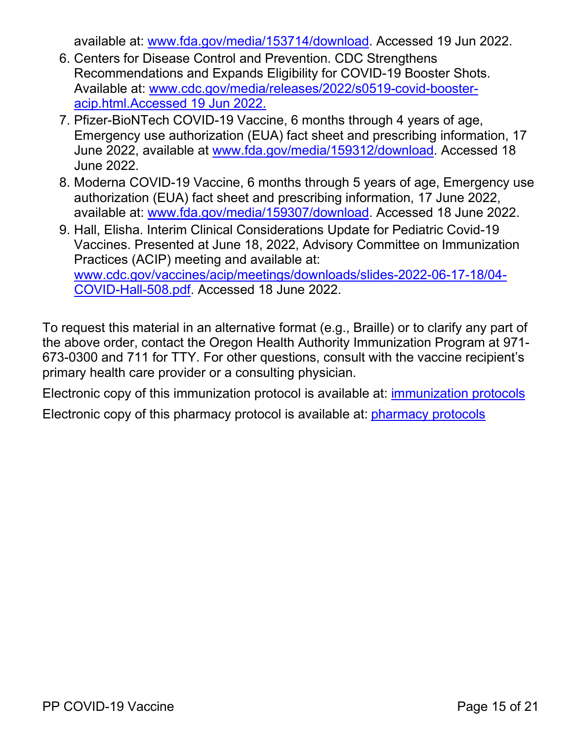available at: [www.fda.gov/media/153714/download.](https://www.fda.gov/media/153714/download) Accessed 19 Jun 2022.

- 6. Centers for Disease Control and Prevention. CDC Strengthens Recommendations and Expands Eligibility for COVID-19 Booster Shots. Available at: [www.cdc.gov/media/releases/2022/s0519-covid-booster](http://www.cdc.gov/media/releases/2022/s0519-covid-booster-acip.html.)[acip.html.A](http://www.cdc.gov/media/releases/2022/s0519-covid-booster-acip.html.)ccessed 19 Jun 2022.
- 7. Pfizer-BioNTech COVID-19 Vaccine, 6 months through 4 years of age, Emergency use authorization (EUA) fact sheet and prescribing information, 17 June 2022, available at [www.fda.gov/media/159312/download.](http://www.fda.gov/media/159312/download) Accessed 18 June 2022.
- 8. Moderna COVID-19 Vaccine, 6 months through 5 years of age, Emergency use authorization (EUA) fact sheet and prescribing information, 17 June 2022, available at: [www.fda.gov/media/159307/download.](http://www.fda.gov/media/159307/download) Accessed 18 June 2022.
- 9. Hall, Elisha. Interim Clinical Considerations Update for Pediatric Covid-19 Vaccines. Presented at June 18, 2022, Advisory Committee on Immunization Practices (ACIP) meeting and available at: [www.cdc.gov/vaccines/acip/meetings/downloads/slides-2022-06-17-18/04-](http://www.cdc.gov/vaccines/acip/meetings/downloads/slides-2022-06-17-18/04-COVID-Hall-508.pdf) [COVID-Hall-508.pdf.](http://www.cdc.gov/vaccines/acip/meetings/downloads/slides-2022-06-17-18/04-COVID-Hall-508.pdf) Accessed 18 June 2022.

To request this material in an alternative format (e.g., Braille) or to clarify any part of the above order, contact the Oregon Health Authority Immunization Program at 971- 673-0300 and 711 for TTY. For other questions, consult with the vaccine recipient's primary health care provider or a consulting physician.

Electronic copy of this immunization protocol is available at: [immunization protocols](https://www.oregon.gov/oha/ph/preventionwellness/vaccinesimmunization/immunizationproviderresources/pages/stdgordr.aspx) Electronic copy of this pharmacy protocol is available at: [pharmacy protocols](https://www.oregon.gov/oha/ph/preventionwellness/vaccinesimmunization/immunizationproviderresources/pages/pharmpro.aspx)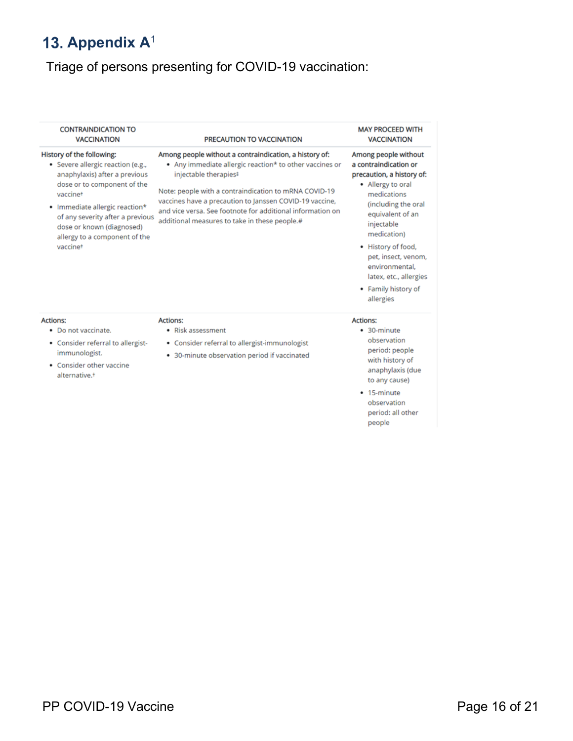# <span id="page-15-0"></span>13. Appendix A<sup>1</sup>

# Triage of persons presenting for COVID-19 vaccination:

| <b>CONTRAINDICATION TO</b><br><b>VACCINATION</b>                                                                                                                                                                                                                                           | PRECAUTION TO VACCINATION                                                                                                                                                                                                                                                                                                                                                     | <b>MAY PROCEED WITH</b><br><b>VACCINATION</b>                                                                                                                                                                                                                                                                       |
|--------------------------------------------------------------------------------------------------------------------------------------------------------------------------------------------------------------------------------------------------------------------------------------------|-------------------------------------------------------------------------------------------------------------------------------------------------------------------------------------------------------------------------------------------------------------------------------------------------------------------------------------------------------------------------------|---------------------------------------------------------------------------------------------------------------------------------------------------------------------------------------------------------------------------------------------------------------------------------------------------------------------|
| History of the following:<br>· Severe allergic reaction (e.g.,<br>anaphylaxis) after a previous<br>dose or to component of the<br>vaccinet<br>• Immediate allergic reaction*<br>of any severity after a previous<br>dose or known (diagnosed)<br>allergy to a component of the<br>vaccinet | Among people without a contraindication, a history of:<br>• Any immediate allergic reaction* to other vaccines or<br>injectable therapies#<br>Note: people with a contraindication to mRNA COVID-19<br>vaccines have a precaution to Janssen COVID-19 vaccine,<br>and vice versa. See footnote for additional information on<br>additional measures to take in these people.# | Among people without<br>a contraindication or<br>precaution, a history of:<br>• Allergy to oral<br>medications<br>(including the oral<br>equivalent of an<br>injectable<br>medication)<br>• History of food,<br>pet, insect, venom,<br>environmental.<br>latex, etc., allergies<br>• Family history of<br>allergies |
| <b>Actions:</b><br>• Do not vaccinate.<br>• Consider referral to allergist-<br>immunologist.<br>$\bullet$ Consider other vaccine<br>alternative. <sup>+</sup>                                                                                                                              | <b>Actions:</b><br>• Risk assessment<br>• Consider referral to allergist-immunologist<br>• 30-minute observation period if vaccinated                                                                                                                                                                                                                                         | <b>Actions:</b><br>• 30-minute<br>observation<br>period: people<br>with history of<br>anaphylaxis (due<br>to any cause)<br>• 15-minute<br>observation<br>period: all other<br>people                                                                                                                                |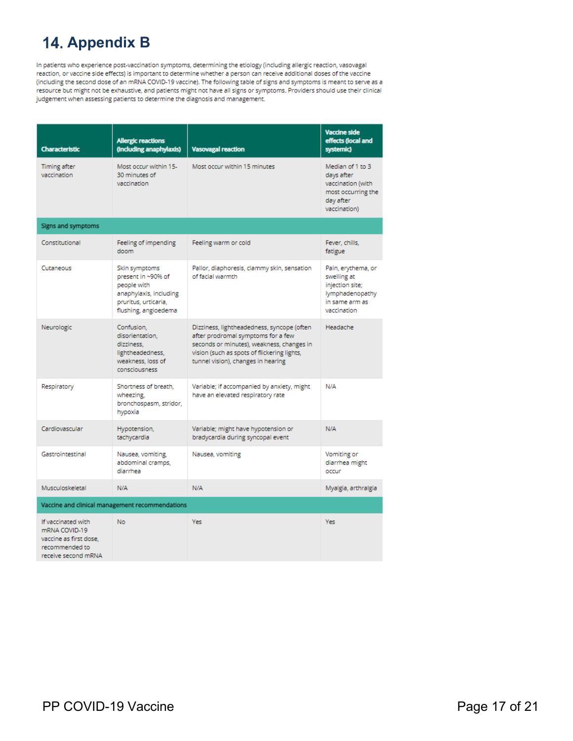## <span id="page-16-0"></span>**14. Appendix B**

In patients who experience post-vaccination symptoms, determining the etiology (including allergic reaction, vasovagal reaction, or vaccine side effects) is important to determine whether a person can receive additional doses of the vaccine (including the second dose of an mRNA COVID-19 vaccine). The following table of signs and symptoms is meant to serve as a resource but might not be exhaustive, and patients might not have all signs or symptoms. Providers should use their clinical judgement when assessing patients to determine the diagnosis and management.

| <b>Characteristic</b>                                                                                  | <b>Allergic reactions</b><br>(including anaphylaxis)                                                                         | <b>Vasovagal reaction</b>                                                                                                                                                                                          | <b>Vaccine side</b><br>effects (local and<br>systemic)                                                   |  |
|--------------------------------------------------------------------------------------------------------|------------------------------------------------------------------------------------------------------------------------------|--------------------------------------------------------------------------------------------------------------------------------------------------------------------------------------------------------------------|----------------------------------------------------------------------------------------------------------|--|
| Timing after<br>vaccination                                                                            | Most occur within 15-<br>30 minutes of<br>vaccination                                                                        | Most occur within 15 minutes                                                                                                                                                                                       | Median of 1 to 3<br>days after<br>vaccination (with<br>most occurring the<br>day after<br>vaccination)   |  |
| Signs and symptoms                                                                                     |                                                                                                                              |                                                                                                                                                                                                                    |                                                                                                          |  |
| Constitutional                                                                                         | Feeling of impending<br>doom                                                                                                 | Feeling warm or cold                                                                                                                                                                                               | Fever, chills,<br>fatigue                                                                                |  |
| Cutaneous                                                                                              | Skin symptoms<br>present in ~90% of<br>people with<br>anaphylaxis, including<br>pruritus, urticaria,<br>flushing, angioedema | Pallor, diaphoresis, clammy skin, sensation<br>of facial warmth                                                                                                                                                    | Pain, erythema, or<br>swelling at<br>injection site;<br>lymphadenopathy<br>in same arm as<br>vaccination |  |
| Neurologic                                                                                             | Confusion,<br>disorientation,<br>dizziness.<br>lightheadedness,<br>weakness, loss of<br>consciousness                        | Dizziness, lightheadedness, syncope (often<br>after prodromal symptoms for a few<br>seconds or minutes), weakness, changes in<br>vision (such as spots of flickering lights,<br>tunnel vision), changes in hearing | Headache                                                                                                 |  |
| Respiratory                                                                                            | Shortness of breath,<br>wheezing,<br>bronchospasm, stridor,<br>hypoxia                                                       | Variable; if accompanied by anxiety, might<br>have an elevated respiratory rate                                                                                                                                    | N/A                                                                                                      |  |
| Cardiovascular                                                                                         | Hypotension,<br>tachycardia                                                                                                  | Variable; might have hypotension or<br>bradycardia during syncopal event                                                                                                                                           | N/A                                                                                                      |  |
| Gastrointestinal                                                                                       | Nausea, vomiting,<br>abdominal cramps,<br>diarrhea                                                                           | Nausea, vomiting                                                                                                                                                                                                   | Vomiting or<br>diarrhea might<br>occur                                                                   |  |
| Musculoskeletal                                                                                        | N/A                                                                                                                          | N/A                                                                                                                                                                                                                | Myalgia, arthralgia                                                                                      |  |
| Vaccine and clinical management recommendations                                                        |                                                                                                                              |                                                                                                                                                                                                                    |                                                                                                          |  |
| If vaccinated with<br>mRNA COVID-19<br>vaccine as first dose.<br>recommended to<br>receive second mRNA | <b>No</b>                                                                                                                    | Yes                                                                                                                                                                                                                | Yes                                                                                                      |  |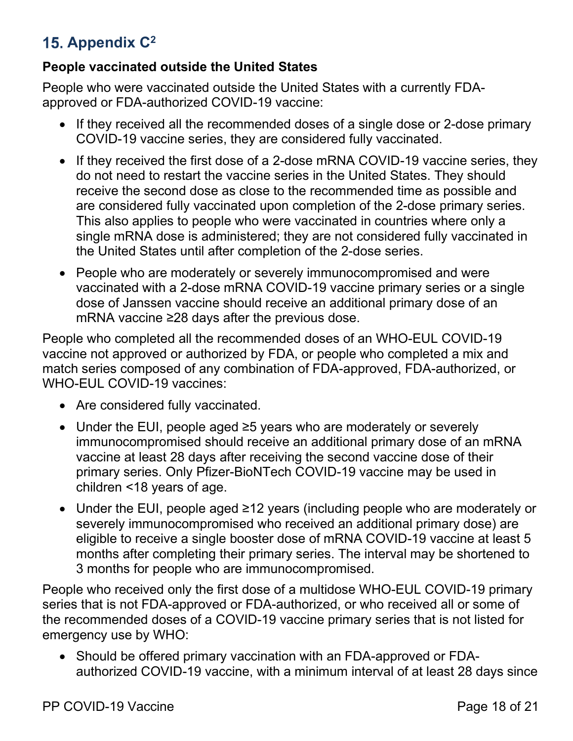## <span id="page-17-0"></span>**Appendix C2**

#### **People vaccinated outside the United States**

People who were vaccinated outside the United States with a currently FDAapproved or FDA-authorized COVID-19 vaccine:

- If they received all the recommended doses of a single dose or 2-dose primary COVID-19 vaccine series, they are considered fully vaccinated.
- If they received the first dose of a 2-dose mRNA COVID-19 vaccine series, they do not need to restart the vaccine series in the United States. They should receive the second dose as close to the recommended time as possible and are considered fully vaccinated upon completion of the 2-dose primary series. This also applies to people who were vaccinated in countries where only a single mRNA dose is administered; they are not considered fully vaccinated in the United States until after completion of the 2-dose series.
- People who are moderately or severely immunocompromised and were vaccinated with a 2-dose mRNA COVID-19 vaccine primary series or a single dose of Janssen vaccine should receive an additional primary dose of an mRNA vaccine ≥28 days after the previous dose.

People who completed all the recommended doses of an WHO-EUL COVID-19 vaccine not approved or authorized by FDA, or people who completed a mix and match series composed of any combination of FDA-approved, FDA-authorized, or WHO-EUL COVID-19 vaccines:

- Are considered fully vaccinated.
- Under the EUI, people aged ≥5 years who are moderately or severely immunocompromised should receive an additional primary dose of an mRNA vaccine at least 28 days after receiving the second vaccine dose of their primary series. Only Pfizer-BioNTech COVID-19 vaccine may be used in children <18 years of age.
- Under the EUI, people aged ≥12 years (including people who are moderately or severely immunocompromised who received an additional primary dose) are eligible to receive a single booster dose of mRNA COVID-19 vaccine at least 5 months after completing their primary series. The interval may be shortened to 3 months for people who are immunocompromised.

People who received only the first dose of a multidose WHO-EUL COVID-19 primary series that is not FDA-approved or FDA-authorized, or who received all or some of the recommended doses of a COVID-19 vaccine primary series that is not listed for emergency use by WHO:

• Should be offered primary vaccination with an FDA-approved or FDAauthorized COVID-19 vaccine, with a minimum interval of at least 28 days since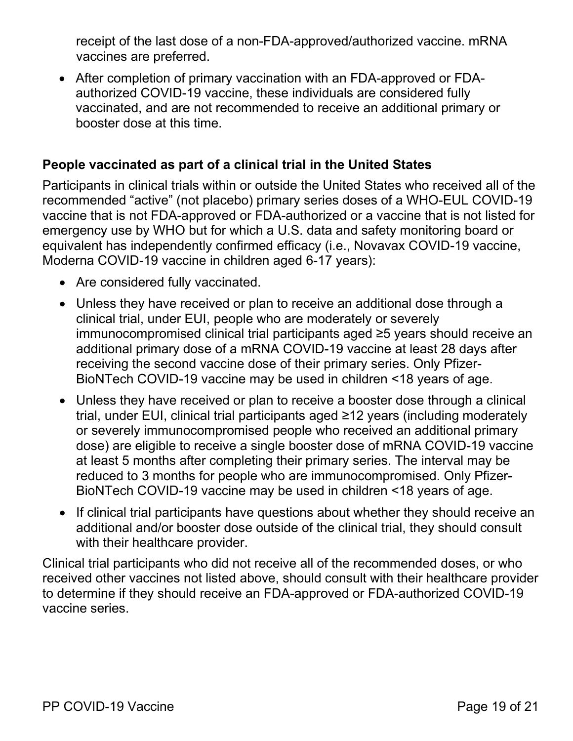receipt of the last dose of a non-FDA-approved/authorized vaccine. mRNA vaccines are preferred.

• After completion of primary vaccination with an FDA-approved or FDAauthorized COVID-19 vaccine, these individuals are considered fully vaccinated, and are not recommended to receive an additional primary or booster dose at this time.

#### **People vaccinated as part of a clinical trial in the United States**

Participants in clinical trials within or outside the United States who received all of the recommended "active" (not placebo) primary series doses of a WHO-EUL COVID-19 vaccine that is not FDA-approved or FDA-authorized or a vaccine that is not listed for emergency use by WHO but for which a U.S. data and safety monitoring board or equivalent has independently confirmed efficacy (i.e., Novavax COVID-19 vaccine, Moderna COVID-19 vaccine in children aged 6-17 years):

- Are considered fully vaccinated.
- Unless they have received or plan to receive an additional dose through a clinical trial, under EUI, people who are moderately or severely immunocompromised clinical trial participants aged ≥5 years should receive an additional primary dose of a mRNA COVID-19 vaccine at least 28 days after receiving the second vaccine dose of their primary series. Only Pfizer-BioNTech COVID-19 vaccine may be used in children <18 years of age.
- Unless they have received or plan to receive a booster dose through a clinical trial, under EUI, clinical trial participants aged ≥12 years (including moderately or severely immunocompromised people who received an additional primary dose) are eligible to receive a single booster dose of mRNA COVID-19 vaccine at least 5 months after completing their primary series. The interval may be reduced to 3 months for people who are immunocompromised. Only Pfizer-BioNTech COVID-19 vaccine may be used in children <18 years of age.
- If clinical trial participants have questions about whether they should receive an additional and/or booster dose outside of the clinical trial, they should consult with their healthcare provider.

Clinical trial participants who did not receive all of the recommended doses, or who received other vaccines not listed above, should consult with their healthcare provider to determine if they should receive an FDA-approved or FDA-authorized COVID-19 vaccine series.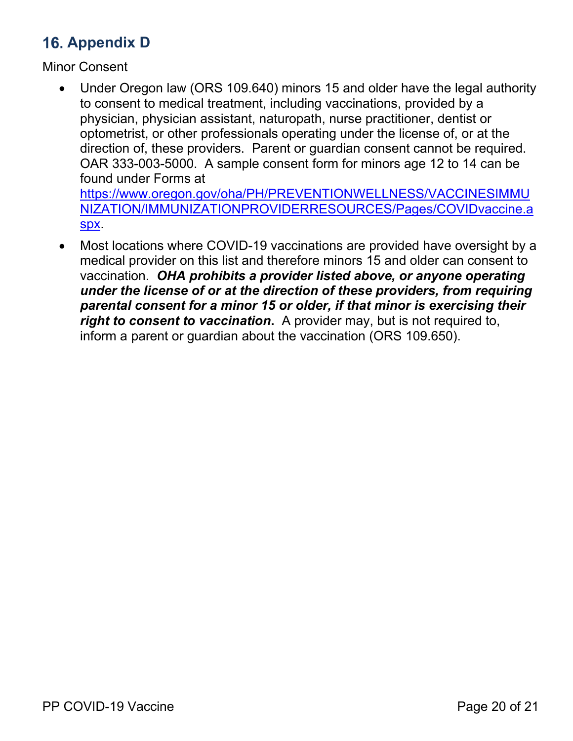## <span id="page-19-0"></span>**16. Appendix D**

Minor Consent

- Under Oregon law (ORS 109.640) minors 15 and older have the legal authority to consent to medical treatment, including vaccinations, provided by a physician, physician assistant, naturopath, nurse practitioner, dentist or optometrist, or other professionals operating under the license of, or at the direction of, these providers. Parent or guardian consent cannot be required. OAR 333-003-5000. A sample consent form for minors age 12 to 14 can be found under Forms at [https://www.oregon.gov/oha/PH/PREVENTIONWELLNESS/VACCINESIMMU](https://www.oregon.gov/oha/PH/PREVENTIONWELLNESS/VACCINESIMMUNIZATION/IMMUNIZATIONPROVIDERRESOURCES/Pages/COVIDvaccine.aspx) [NIZATION/IMMUNIZATIONPROVIDERRESOURCES/Pages/COVIDvaccine.a](https://www.oregon.gov/oha/PH/PREVENTIONWELLNESS/VACCINESIMMUNIZATION/IMMUNIZATIONPROVIDERRESOURCES/Pages/COVIDvaccine.aspx)
	- [spx.](https://www.oregon.gov/oha/PH/PREVENTIONWELLNESS/VACCINESIMMUNIZATION/IMMUNIZATIONPROVIDERRESOURCES/Pages/COVIDvaccine.aspx)
- Most locations where COVID-19 vaccinations are provided have oversight by a medical provider on this list and therefore minors 15 and older can consent to vaccination. *OHA prohibits a provider listed above, or anyone operating under the license of or at the direction of these providers, from requiring parental consent for a minor 15 or older, if that minor is exercising their right to consent to vaccination***.** A provider may, but is not required to, inform a parent or guardian about the vaccination (ORS 109.650).